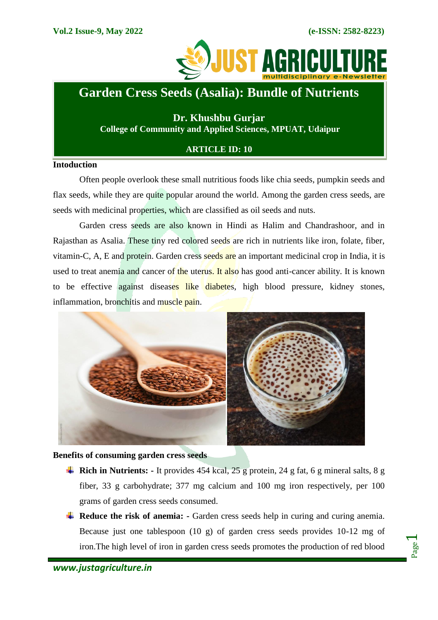

## **Garden Cress Seeds (Asalia): Bundle of Nutrients**

**Dr. Khushbu Gurjar College of Community and Applied Sciences, MPUAT, Udaipur**

## **ARTICLE ID: 10**

## **Intoduction**

Often people overlook these small nutritious foods like chia seeds, pumpkin seeds and flax seeds, while they are quite popular around the world. Among the garden cress seeds, are seeds with medicinal properties, which are classified as oil seeds and nuts.

Garden cress seeds are also known in Hindi as Halim and Chandrashoor, and in Rajasthan as Asalia. These tiny red colored seeds are rich in nutrients like iron, folate, fiber, vitamin-C, A, E and protein. Garden cress seeds are an important medicinal crop in India, it is used to treat anemia and cancer of the uterus. It also has good anti-cancer ability. It is known to be effective against diseases like diabetes, high blood pressure, kidney stones, inflammation, bronchitis and muscle pain.



**Benefits of consuming garden cress seeds**

- **Rich in Nutrients:** It provides 454 kcal, 25 g protein, 24 g fat, 6 g mineral salts, 8 g fiber, 33 g carbohydrate; 377 mg calcium and 100 mg iron respectively, per 100 grams of garden cress seeds consumed.
- **Reduce the risk of anemia:** Garden cress seeds help in curing and curing anemia. Because just one tablespoon (10 g) of garden cress seeds provides 10-12 mg of iron.The high level of iron in garden cress seeds promotes the production of red blood